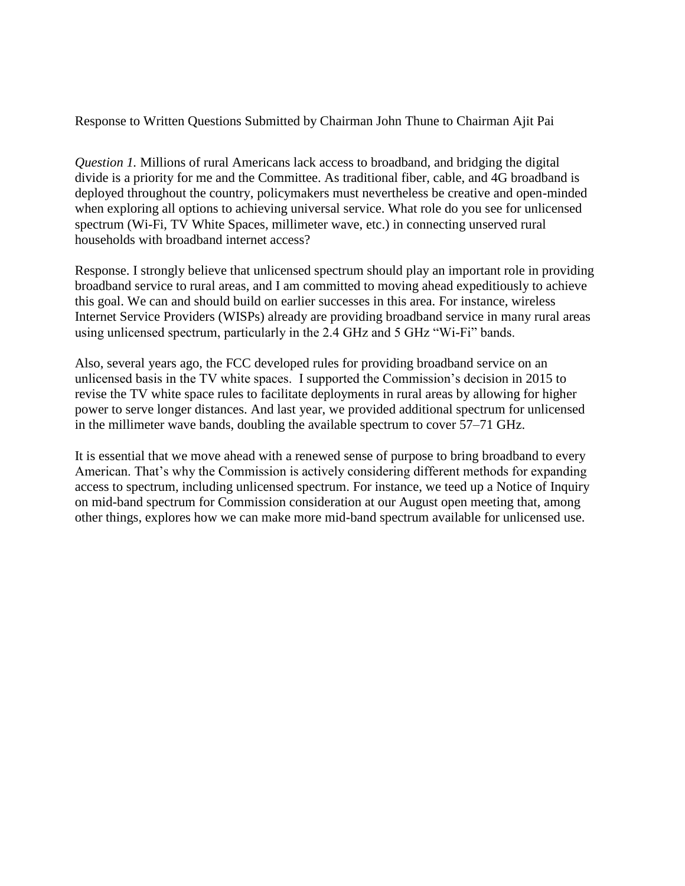Response to Written Questions Submitted by Chairman John Thune to Chairman Ajit Pai

*Question 1.* Millions of rural Americans lack access to broadband, and bridging the digital divide is a priority for me and the Committee. As traditional fiber, cable, and 4G broadband is deployed throughout the country, policymakers must nevertheless be creative and open-minded when exploring all options to achieving universal service. What role do you see for unlicensed spectrum (Wi-Fi, TV White Spaces, millimeter wave, etc.) in connecting unserved rural households with broadband internet access?

Response. I strongly believe that unlicensed spectrum should play an important role in providing broadband service to rural areas, and I am committed to moving ahead expeditiously to achieve this goal. We can and should build on earlier successes in this area. For instance, wireless Internet Service Providers (WISPs) already are providing broadband service in many rural areas using unlicensed spectrum, particularly in the 2.4 GHz and 5 GHz "Wi-Fi" bands.

Also, several years ago, the FCC developed rules for providing broadband service on an unlicensed basis in the TV white spaces. I supported the Commission's decision in 2015 to revise the TV white space rules to facilitate deployments in rural areas by allowing for higher power to serve longer distances. And last year, we provided additional spectrum for unlicensed in the millimeter wave bands, doubling the available spectrum to cover 57–71 GHz.

It is essential that we move ahead with a renewed sense of purpose to bring broadband to every American. That's why the Commission is actively considering different methods for expanding access to spectrum, including unlicensed spectrum. For instance, we teed up a Notice of Inquiry on mid-band spectrum for Commission consideration at our August open meeting that, among other things, explores how we can make more mid-band spectrum available for unlicensed use.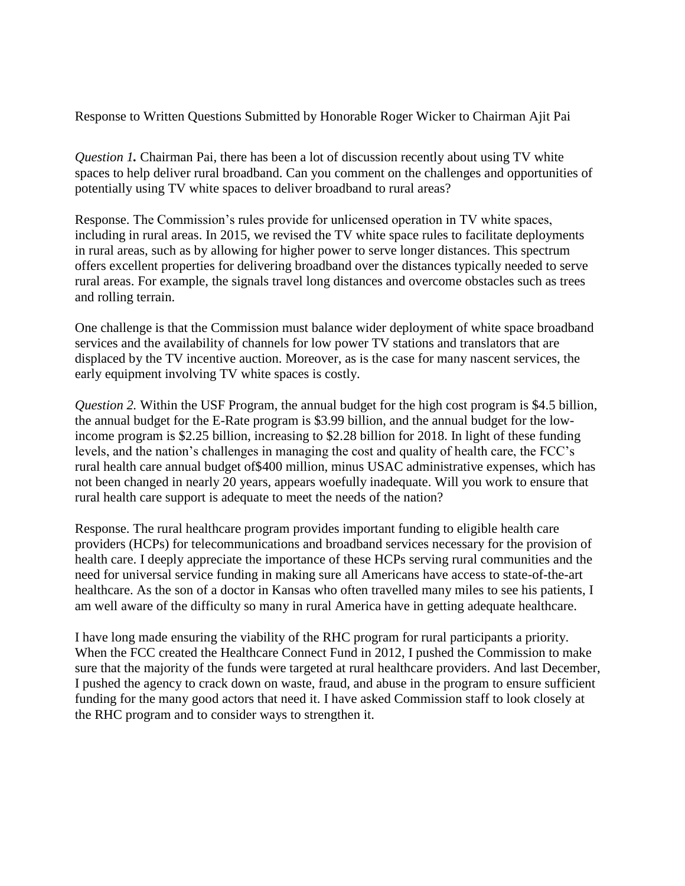Response to Written Questions Submitted by Honorable Roger Wicker to Chairman Ajit Pai

*Question 1.* Chairman Pai, there has been a lot of discussion recently about using TV white spaces to help deliver rural broadband. Can you comment on the challenges and opportunities of potentially using TV white spaces to deliver broadband to rural areas?

Response. The Commission's rules provide for unlicensed operation in TV white spaces, including in rural areas. In 2015, we revised the TV white space rules to facilitate deployments in rural areas, such as by allowing for higher power to serve longer distances. This spectrum offers excellent properties for delivering broadband over the distances typically needed to serve rural areas. For example, the signals travel long distances and overcome obstacles such as trees and rolling terrain.

One challenge is that the Commission must balance wider deployment of white space broadband services and the availability of channels for low power TV stations and translators that are displaced by the TV incentive auction. Moreover, as is the case for many nascent services, the early equipment involving TV white spaces is costly.

*Question 2.* Within the USF Program, the annual budget for the high cost program is \$4.5 billion, the annual budget for the E-Rate program is \$3.99 billion, and the annual budget for the lowincome program is \$2.25 billion, increasing to \$2.28 billion for 2018. In light of these funding levels, and the nation's challenges in managing the cost and quality of health care, the FCC's rural health care annual budget of\$400 million, minus USAC administrative expenses, which has not been changed in nearly 20 years, appears woefully inadequate. Will you work to ensure that rural health care support is adequate to meet the needs of the nation?

Response. The rural healthcare program provides important funding to eligible health care providers (HCPs) for telecommunications and broadband services necessary for the provision of health care. I deeply appreciate the importance of these HCPs serving rural communities and the need for universal service funding in making sure all Americans have access to state-of-the-art healthcare. As the son of a doctor in Kansas who often travelled many miles to see his patients, I am well aware of the difficulty so many in rural America have in getting adequate healthcare.

I have long made ensuring the viability of the RHC program for rural participants a priority. When the FCC created the Healthcare Connect Fund in 2012, I pushed the Commission to make sure that the majority of the funds were targeted at rural healthcare providers. And last December, I pushed the agency to crack down on waste, fraud, and abuse in the program to ensure sufficient funding for the many good actors that need it. I have asked Commission staff to look closely at the RHC program and to consider ways to strengthen it.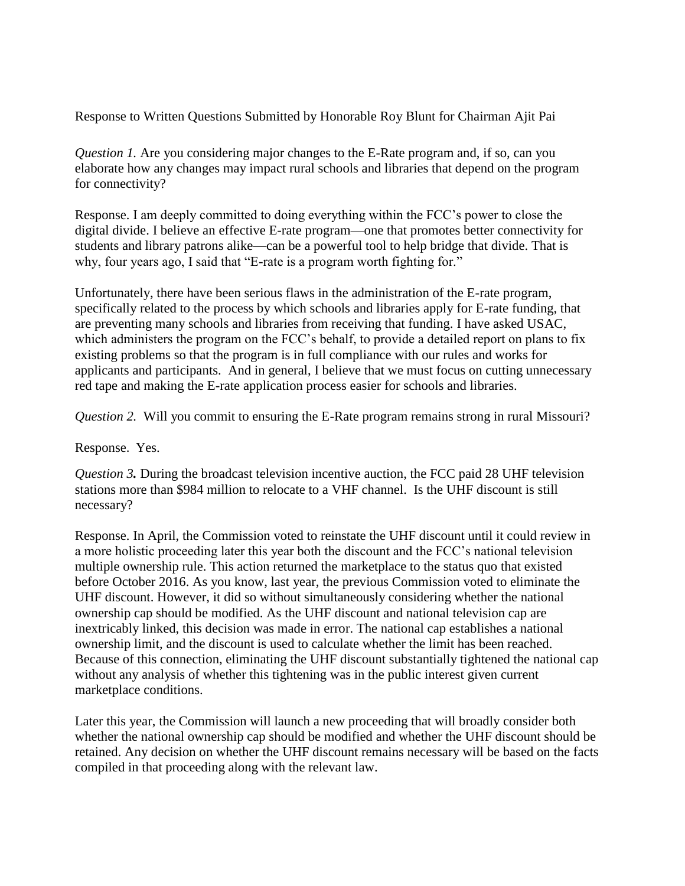Response to Written Questions Submitted by Honorable Roy Blunt for Chairman Ajit Pai

*Question 1.* Are you considering major changes to the E-Rate program and, if so, can you elaborate how any changes may impact rural schools and libraries that depend on the program for connectivity?

Response. I am deeply committed to doing everything within the FCC's power to close the digital divide. I believe an effective E-rate program—one that promotes better connectivity for students and library patrons alike—can be a powerful tool to help bridge that divide. That is why, four years ago, I said that "E-rate is a program worth fighting for."

Unfortunately, there have been serious flaws in the administration of the E-rate program, specifically related to the process by which schools and libraries apply for E-rate funding, that are preventing many schools and libraries from receiving that funding. I have asked USAC, which administers the program on the FCC's behalf, to provide a detailed report on plans to fix existing problems so that the program is in full compliance with our rules and works for applicants and participants. And in general, I believe that we must focus on cutting unnecessary red tape and making the E-rate application process easier for schools and libraries.

*Question 2.* Will you commit to ensuring the E-Rate program remains strong in rural Missouri?

Response. Yes.

*Question 3.* During the broadcast television incentive auction, the FCC paid 28 UHF television stations more than \$984 million to relocate to a VHF channel. Is the UHF discount is still necessary?

Response. In April, the Commission voted to reinstate the UHF discount until it could review in a more holistic proceeding later this year both the discount and the FCC's national television multiple ownership rule. This action returned the marketplace to the status quo that existed before October 2016. As you know, last year, the previous Commission voted to eliminate the UHF discount. However, it did so without simultaneously considering whether the national ownership cap should be modified. As the UHF discount and national television cap are inextricably linked, this decision was made in error. The national cap establishes a national ownership limit, and the discount is used to calculate whether the limit has been reached. Because of this connection, eliminating the UHF discount substantially tightened the national cap without any analysis of whether this tightening was in the public interest given current marketplace conditions.

Later this year, the Commission will launch a new proceeding that will broadly consider both whether the national ownership cap should be modified and whether the UHF discount should be retained. Any decision on whether the UHF discount remains necessary will be based on the facts compiled in that proceeding along with the relevant law.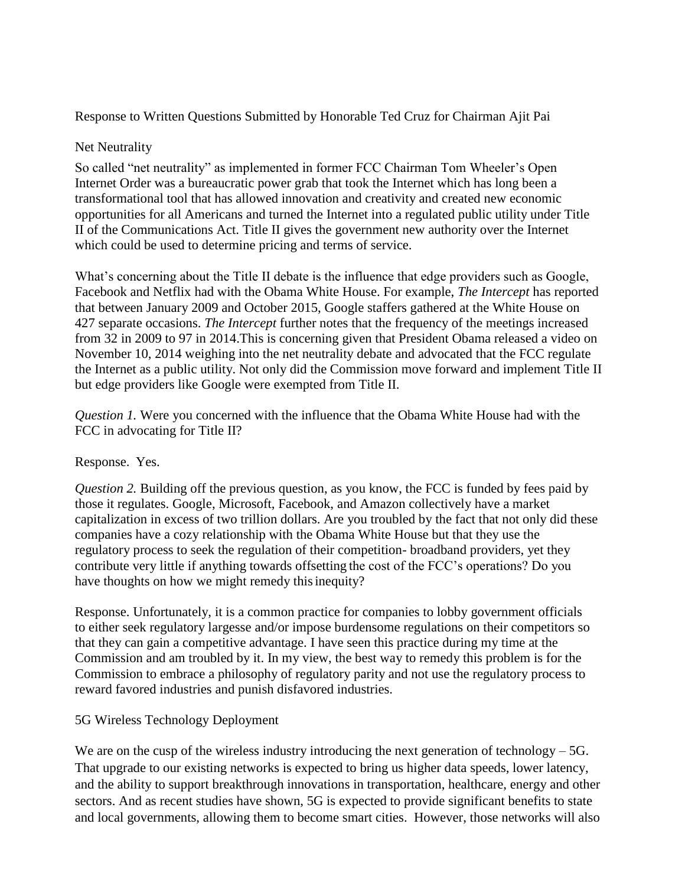## Response to Written Questions Submitted by Honorable Ted Cruz for Chairman Ajit Pai

### Net Neutrality

So called "net neutrality" as implemented in former FCC Chairman Tom Wheeler's Open Internet Order was a bureaucratic power grab that took the Internet which has long been a transformational tool that has allowed innovation and creativity and created new economic opportunities for all Americans and turned the Internet into a regulated public utility under Title II of the Communications Act. Title II gives the government new authority over the Internet which could be used to determine pricing and terms of service.

What's concerning about the Title II debate is the influence that edge providers such as Google, Facebook and Netflix had with the Obama White House. For example, *The Intercept* has reported that between January 2009 and October 2015, Google staffers gathered at the White House on 427 separate occasions. *The Intercept* further notes that the frequency of the meetings increased from 32 in 2009 to 97 in 2014.This is concerning given that President Obama released a video on November 10, 2014 weighing into the net neutrality debate and advocated that the FCC regulate the Internet as a public utility. Not only did the Commission move forward and implement Title II but edge providers like Google were exempted from Title II.

*Question 1.* Were you concerned with the influence that the Obama White House had with the FCC in advocating for Title II?

# Response. Yes.

*Question 2.* Building off the previous question, as you know, the FCC is funded by fees paid by those it regulates. Google, Microsoft, Facebook, and Amazon collectively have a market capitalization in excess of two trillion dollars. Are you troubled by the fact that not only did these companies have a cozy relationship with the Obama White House but that they use the regulatory process to seek the regulation of their competition- broadband providers, yet they contribute very little if anything towards offsetting the cost of the FCC's operations? Do you have thoughts on how we might remedy this inequity?

Response. Unfortunately, it is a common practice for companies to lobby government officials to either seek regulatory largesse and/or impose burdensome regulations on their competitors so that they can gain a competitive advantage. I have seen this practice during my time at the Commission and am troubled by it. In my view, the best way to remedy this problem is for the Commission to embrace a philosophy of regulatory parity and not use the regulatory process to reward favored industries and punish disfavored industries.

# 5G Wireless Technology Deployment

We are on the cusp of the wireless industry introducing the next generation of technology – 5G. That upgrade to our existing networks is expected to bring us higher data speeds, lower latency, and the ability to support breakthrough innovations in transportation, healthcare, energy and other sectors. And as recent studies have shown, 5G is expected to provide significant benefits to state and local governments, allowing them to become smart cities. However, those networks will also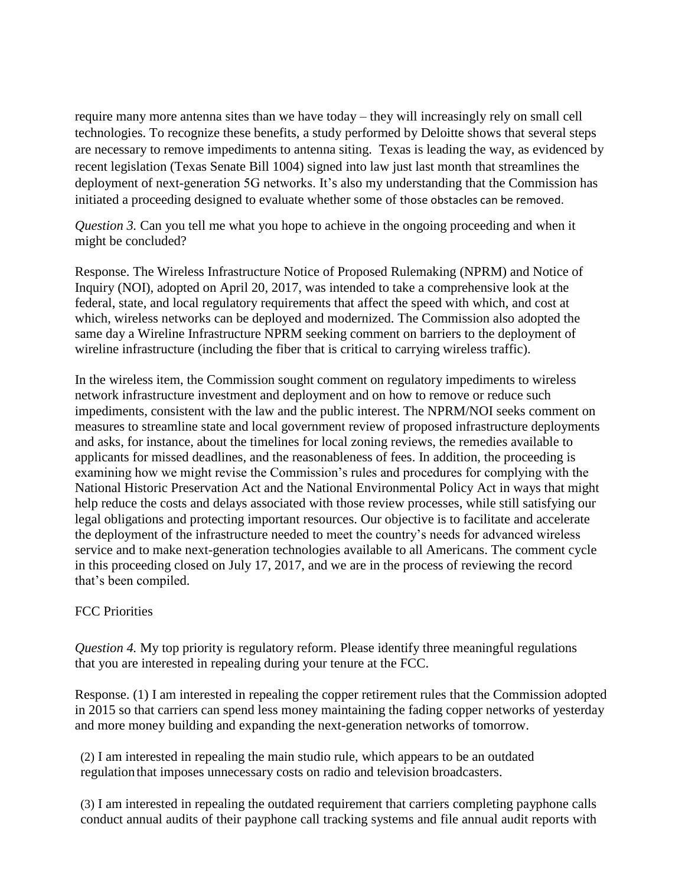require many more antenna sites than we have today – they will increasingly rely on small cell technologies. To recognize these benefits, a study performed by Deloitte shows that several steps are necessary to remove impediments to antenna siting. Texas is leading the way, as evidenced by recent legislation (Texas Senate Bill 1004) signed into law just last month that streamlines the deployment of next-generation 5G networks. It's also my understanding that the Commission has initiated a proceeding designed to evaluate whether some of those obstacles can be removed.

*Question 3.* Can you tell me what you hope to achieve in the ongoing proceeding and when it might be concluded?

Response. The Wireless Infrastructure Notice of Proposed Rulemaking (NPRM) and Notice of Inquiry (NOI), adopted on April 20, 2017, was intended to take a comprehensive look at the federal, state, and local regulatory requirements that affect the speed with which, and cost at which, wireless networks can be deployed and modernized. The Commission also adopted the same day a Wireline Infrastructure NPRM seeking comment on barriers to the deployment of wireline infrastructure (including the fiber that is critical to carrying wireless traffic).

In the wireless item, the Commission sought comment on regulatory impediments to wireless network infrastructure investment and deployment and on how to remove or reduce such impediments, consistent with the law and the public interest. The NPRM/NOI seeks comment on measures to streamline state and local government review of proposed infrastructure deployments and asks, for instance, about the timelines for local zoning reviews, the remedies available to applicants for missed deadlines, and the reasonableness of fees. In addition, the proceeding is examining how we might revise the Commission's rules and procedures for complying with the National Historic Preservation Act and the National Environmental Policy Act in ways that might help reduce the costs and delays associated with those review processes, while still satisfying our legal obligations and protecting important resources. Our objective is to facilitate and accelerate the deployment of the infrastructure needed to meet the country's needs for advanced wireless service and to make next-generation technologies available to all Americans. The comment cycle in this proceeding closed on July 17, 2017, and we are in the process of reviewing the record that's been compiled.

# FCC Priorities

*Question 4.* My top priority is regulatory reform. Please identify three meaningful regulations that you are interested in repealing during your tenure at the FCC.

Response. (1) I am interested in repealing the copper retirement rules that the Commission adopted in 2015 so that carriers can spend less money maintaining the fading copper networks of yesterday and more money building and expanding the next-generation networks of tomorrow.

(2) I am interested in repealing the main studio rule, which appears to be an outdated regulation that imposes unnecessary costs on radio and television broadcasters.

(3) I am interested in repealing the outdated requirement that carriers completing payphone calls conduct annual audits of their payphone call tracking systems and file annual audit reports with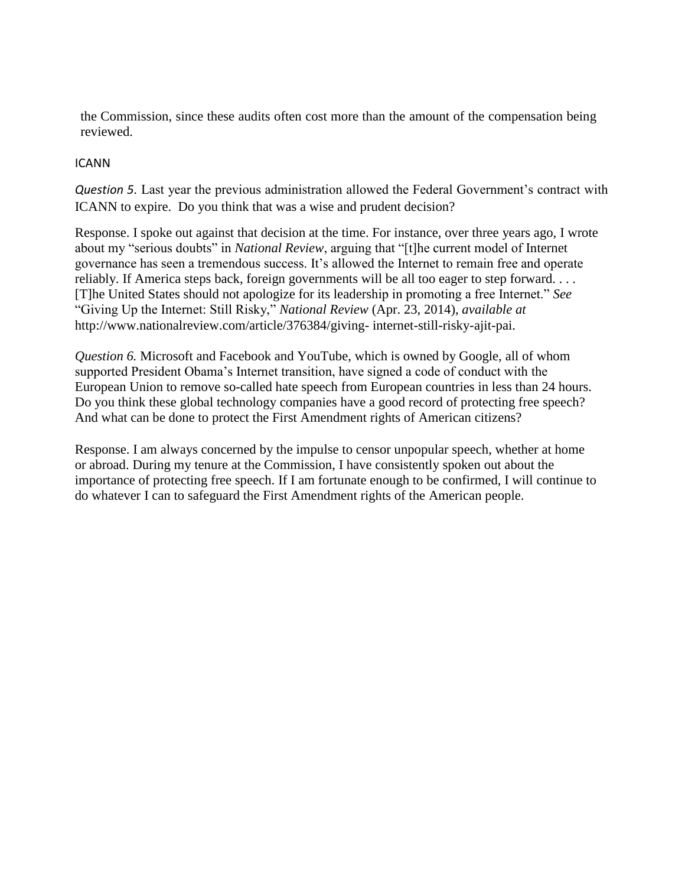the Commission, since these audits often cost more than the amount of the compensation being reviewed.

### ICANN

*Question 5.* Last year the previous administration allowed the Federal Government's contract with ICANN to expire. Do you think that was a wise and prudent decision?

Response. I spoke out against that decision at the time. For instance, over three years ago, I wrote about my "serious doubts" in *National Review*, arguing that "[t]he current model of Internet governance has seen a tremendous success. It's allowed the Internet to remain free and operate reliably. If America steps back, foreign governments will be all too eager to step forward. . . . [T]he United States should not apologize for its leadership in promoting a free Internet." *See*  "Giving Up the Internet: Still Risky," *National Review* (Apr. 23, 2014), *available at*  <http://www.nationalreview.com/article/376384/giving-> internet-still-risky-ajit-pai.

*Question 6.* Microsoft and Facebook and YouTube, which is owned by Google, all of whom supported President Obama's Internet transition, have signed a code of conduct with the European Union to remove so-called hate speech from European countries in less than 24 hours. Do you think these global technology companies have a good record of protecting free speech? And what can be done to protect the First Amendment rights of American citizens?

Response. I am always concerned by the impulse to censor unpopular speech, whether at home or abroad. During my tenure at the Commission, I have consistently spoken out about the importance of protecting free speech. If I am fortunate enough to be confirmed, I will continue to do whatever I can to safeguard the First Amendment rights of the American people.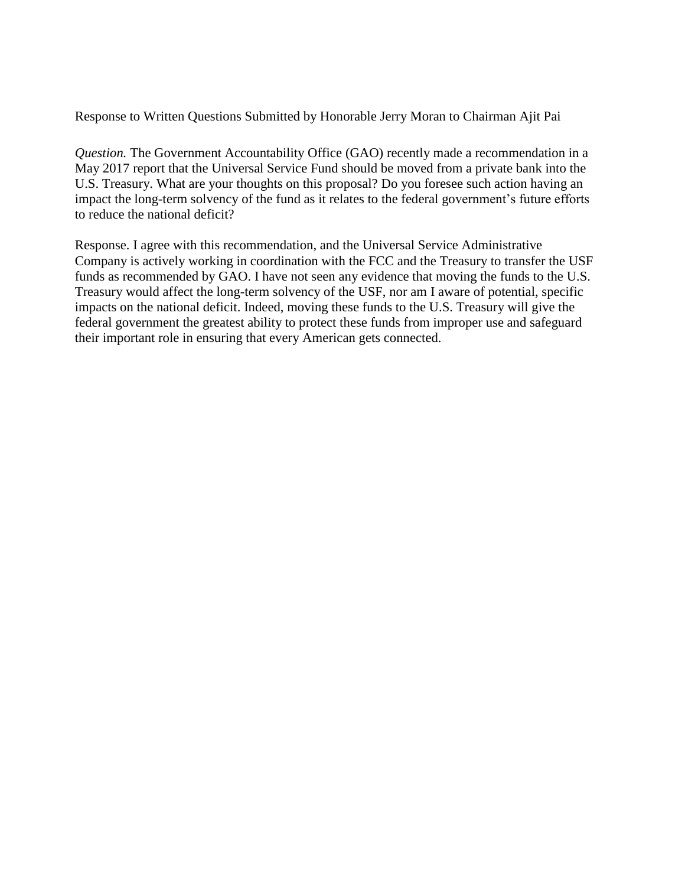Response to Written Questions Submitted by Honorable Jerry Moran to Chairman Ajit Pai

*Question.* The Government Accountability Office (GAO) recently made a recommendation in a May 2017 report that the Universal Service Fund should be moved from a private bank into the U.S. Treasury. What are your thoughts on this proposal? Do you foresee such action having an impact the long-term solvency of the fund as it relates to the federal government's future efforts to reduce the national deficit?

Response. I agree with this recommendation, and the Universal Service Administrative Company is actively working in coordination with the FCC and the Treasury to transfer the USF funds as recommended by GAO. I have not seen any evidence that moving the funds to the U.S. Treasury would affect the long-term solvency of the USF, nor am I aware of potential, specific impacts on the national deficit. Indeed, moving these funds to the U.S. Treasury will give the federal government the greatest ability to protect these funds from improper use and safeguard their important role in ensuring that every American gets connected.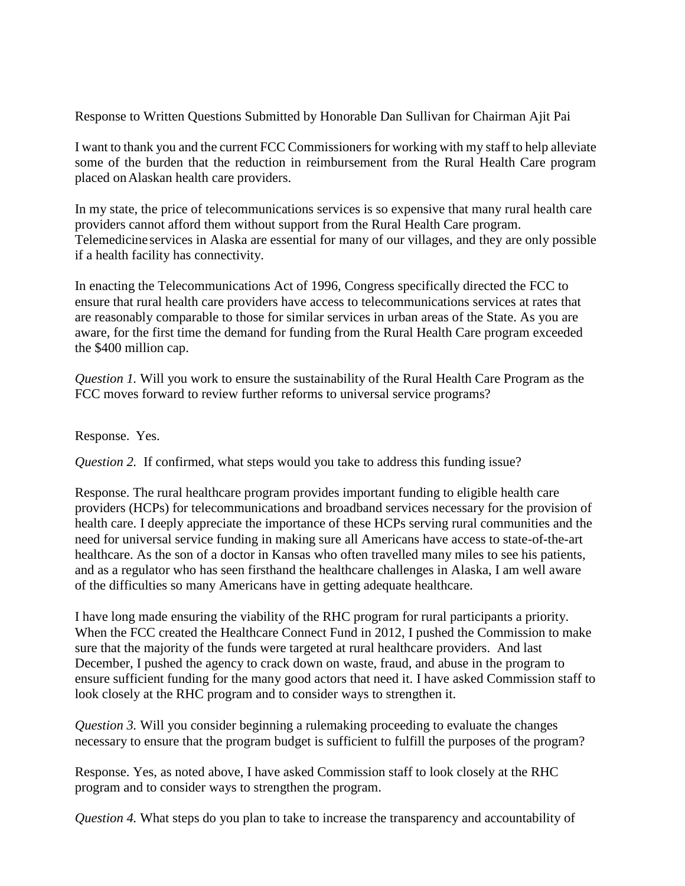Response to Written Questions Submitted by Honorable Dan Sullivan for Chairman Ajit Pai

I want to thank you and the current FCC Commissioners for working with my staff to help alleviate some of the burden that the reduction in reimbursement from the Rural Health Care program placed onAlaskan health care providers.

In my state, the price of telecommunications services is so expensive that many rural health care providers cannot afford them without support from the Rural Health Care program. Telemedicine services in Alaska are essential for many of our villages, and they are only possible if a health facility has connectivity.

In enacting the Telecommunications Act of 1996, Congress specifically directed the FCC to ensure that rural health care providers have access to telecommunications services at rates that are reasonably comparable to those for similar services in urban areas of the State. As you are aware, for the first time the demand for funding from the Rural Health Care program exceeded the \$400 million cap.

*Question 1.* Will you work to ensure the sustainability of the Rural Health Care Program as the FCC moves forward to review further reforms to universal service programs?

Response. Yes.

*Question 2.* If confirmed, what steps would you take to address this funding issue?

Response. The rural healthcare program provides important funding to eligible health care providers (HCPs) for telecommunications and broadband services necessary for the provision of health care. I deeply appreciate the importance of these HCPs serving rural communities and the need for universal service funding in making sure all Americans have access to state-of-the-art healthcare. As the son of a doctor in Kansas who often travelled many miles to see his patients, and as a regulator who has seen firsthand the healthcare challenges in Alaska, I am well aware of the difficulties so many Americans have in getting adequate healthcare.

I have long made ensuring the viability of the RHC program for rural participants a priority. When the FCC created the Healthcare Connect Fund in 2012, I pushed the Commission to make sure that the majority of the funds were targeted at rural healthcare providers. And last December, I pushed the agency to crack down on waste, fraud, and abuse in the program to ensure sufficient funding for the many good actors that need it. I have asked Commission staff to look closely at the RHC program and to consider ways to strengthen it.

*Question 3.* Will you consider beginning a rulemaking proceeding to evaluate the changes necessary to ensure that the program budget is sufficient to fulfill the purposes of the program?

Response. Yes, as noted above, I have asked Commission staff to look closely at the RHC program and to consider ways to strengthen the program.

*Question 4.* What steps do you plan to take to increase the transparency and accountability of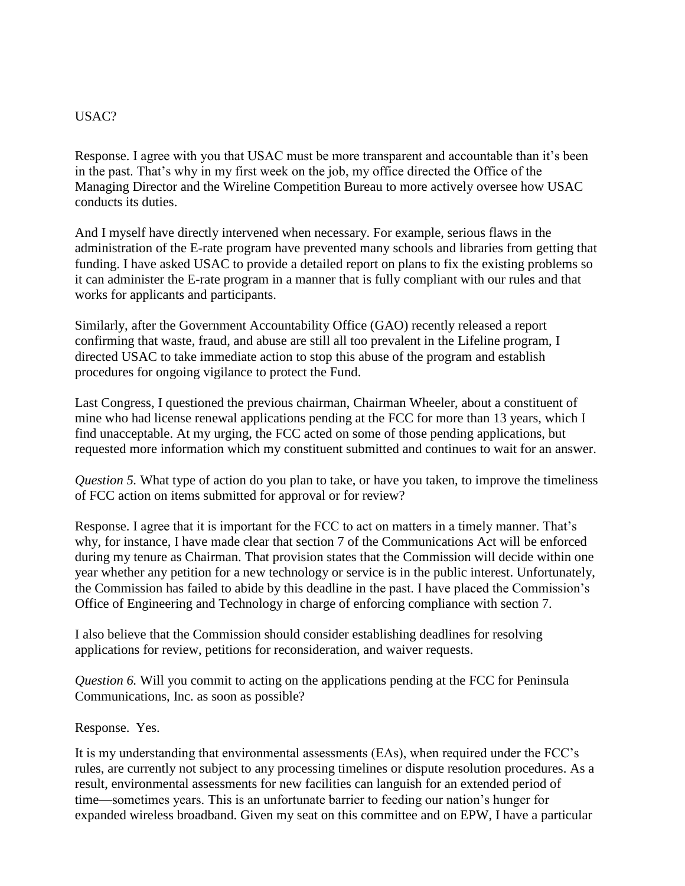#### USAC?

Response. I agree with you that USAC must be more transparent and accountable than it's been in the past. That's why in my first week on the job, my office directed the Office of the Managing Director and the Wireline Competition Bureau to more actively oversee how USAC conducts its duties.

And I myself have directly intervened when necessary. For example, serious flaws in the administration of the E-rate program have prevented many schools and libraries from getting that funding. I have asked USAC to provide a detailed report on plans to fix the existing problems so it can administer the E-rate program in a manner that is fully compliant with our rules and that works for applicants and participants.

Similarly, after the Government Accountability Office (GAO) recently released a report confirming that waste, fraud, and abuse are still all too prevalent in the Lifeline program, I directed USAC to take immediate action to stop this abuse of the program and establish procedures for ongoing vigilance to protect the Fund.

Last Congress, I questioned the previous chairman, Chairman Wheeler, about a constituent of mine who had license renewal applications pending at the FCC for more than 13 years, which I find unacceptable. At my urging, the FCC acted on some of those pending applications, but requested more information which my constituent submitted and continues to wait for an answer.

*Question 5.* What type of action do you plan to take, or have you taken, to improve the timeliness of FCC action on items submitted for approval or for review?

Response. I agree that it is important for the FCC to act on matters in a timely manner. That's why, for instance, I have made clear that section 7 of the Communications Act will be enforced during my tenure as Chairman. That provision states that the Commission will decide within one year whether any petition for a new technology or service is in the public interest. Unfortunately, the Commission has failed to abide by this deadline in the past. I have placed the Commission's Office of Engineering and Technology in charge of enforcing compliance with section 7.

I also believe that the Commission should consider establishing deadlines for resolving applications for review, petitions for reconsideration, and waiver requests.

*Question 6.* Will you commit to acting on the applications pending at the FCC for Peninsula Communications, Inc. as soon as possible?

Response. Yes.

It is my understanding that environmental assessments (EAs), when required under the FCC's rules, are currently not subject to any processing timelines or dispute resolution procedures. As a result, environmental assessments for new facilities can languish for an extended period of time—sometimes years. This is an unfortunate barrier to feeding our nation's hunger for expanded wireless broadband. Given my seat on this committee and on EPW, I have a particular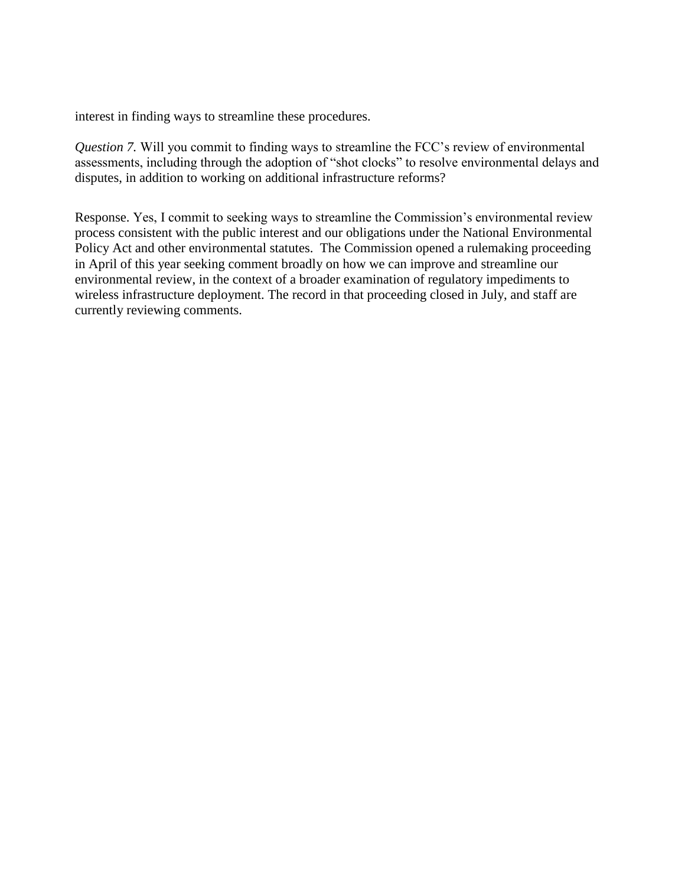interest in finding ways to streamline these procedures.

*Question 7.* Will you commit to finding ways to streamline the FCC's review of environmental assessments, including through the adoption of "shot clocks" to resolve environmental delays and disputes, in addition to working on additional infrastructure reforms?

Response. Yes, I commit to seeking ways to streamline the Commission's environmental review process consistent with the public interest and our obligations under the National Environmental Policy Act and other environmental statutes. The Commission opened a rulemaking proceeding in April of this year seeking comment broadly on how we can improve and streamline our environmental review, in the context of a broader examination of regulatory impediments to wireless infrastructure deployment. The record in that proceeding closed in July, and staff are currently reviewing comments.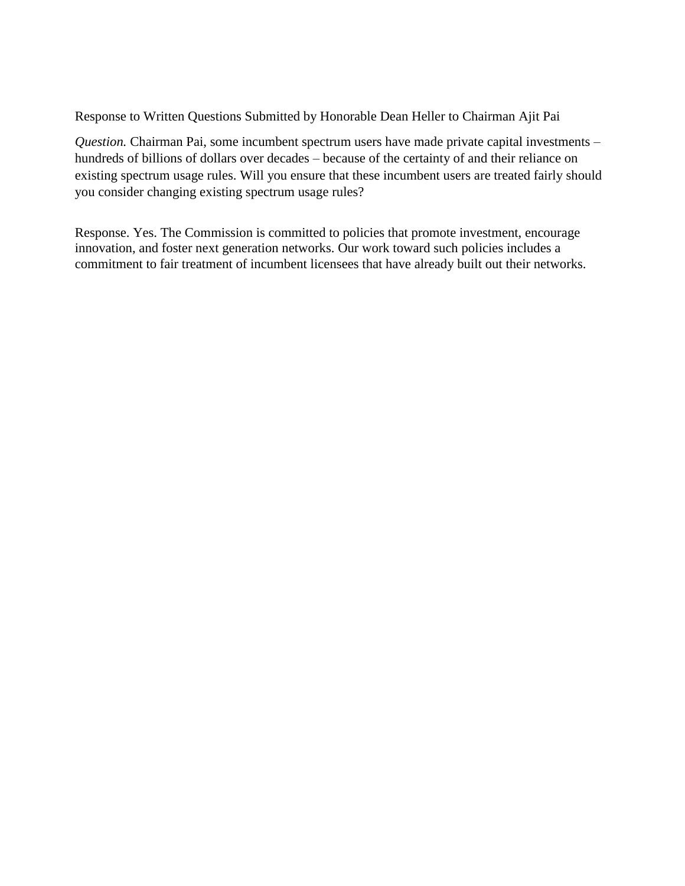Response to Written Questions Submitted by Honorable Dean Heller to Chairman Ajit Pai

*Question.* Chairman Pai, some incumbent spectrum users have made private capital investments – hundreds of billions of dollars over decades – because of the certainty of and their reliance on existing spectrum usage rules. Will you ensure that these incumbent users are treated fairly should you consider changing existing spectrum usage rules?

Response. Yes. The Commission is committed to policies that promote investment, encourage innovation, and foster next generation networks. Our work toward such policies includes a commitment to fair treatment of incumbent licensees that have already built out their networks.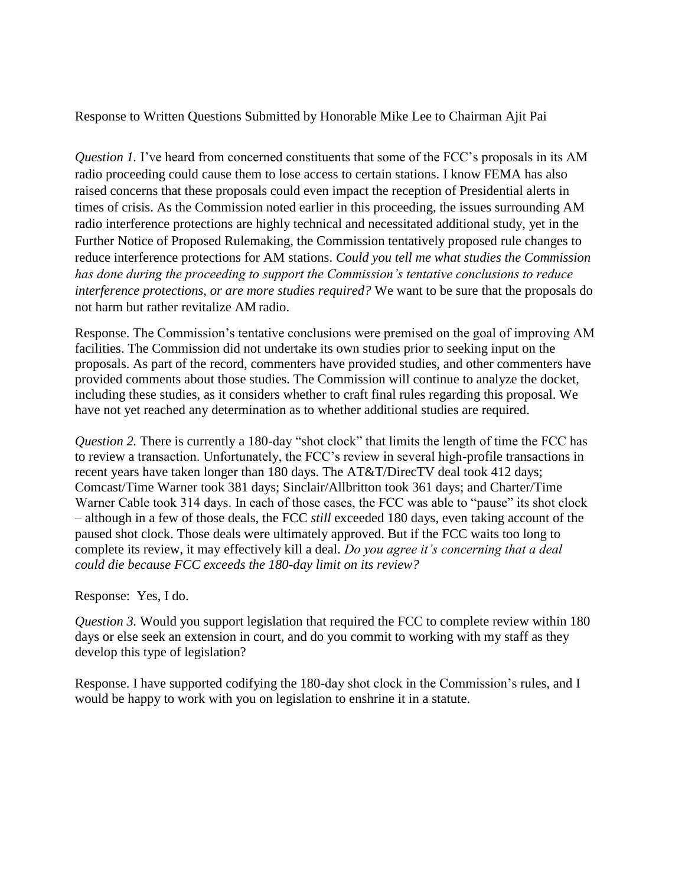Response to Written Questions Submitted by Honorable Mike Lee to Chairman Ajit Pai

*Question 1.* I've heard from concerned constituents that some of the FCC's proposals in its AM radio proceeding could cause them to lose access to certain stations. I know FEMA has also raised concerns that these proposals could even impact the reception of Presidential alerts in times of crisis. As the Commission noted earlier in this proceeding, the issues surrounding AM radio interference protections are highly technical and necessitated additional study, yet in the Further Notice of Proposed Rulemaking, the Commission tentatively proposed rule changes to reduce interference protections for AM stations. *Could you tell me what studies the Commission has done during the proceeding to support the Commission's tentative conclusions to reduce interference protections, or are more studies required?* We want to be sure that the proposals do not harm but rather revitalize AM radio.

Response. The Commission's tentative conclusions were premised on the goal of improving AM facilities. The Commission did not undertake its own studies prior to seeking input on the proposals. As part of the record, commenters have provided studies, and other commenters have provided comments about those studies. The Commission will continue to analyze the docket, including these studies, as it considers whether to craft final rules regarding this proposal. We have not yet reached any determination as to whether additional studies are required.

*Question 2.* There is currently a 180-day "shot clock" that limits the length of time the FCC has to review a transaction. Unfortunately, the FCC's review in several high-profile transactions in recent years have taken longer than 180 days. The AT&T/DirecTV deal took 412 days; Comcast/Time Warner took 381 days; Sinclair/Allbritton took 361 days; and Charter/Time Warner Cable took 314 days. In each of those cases, the FCC was able to "pause" its shot clock – although in a few of those deals, the FCC *still* exceeded 180 days, even taking account of the paused shot clock. Those deals were ultimately approved. But if the FCC waits too long to complete its review, it may effectively kill a deal. *Do you agree it's concerning that a deal could die because FCC exceeds the 180-day limit on its review?*

#### Response:Yes, I do.

*Question 3.* Would you support legislation that required the FCC to complete review within 180 days or else seek an extension in court, and do you commit to working with my staff as they develop this type of legislation?

Response. I have supported codifying the 180-day shot clock in the Commission's rules, and I would be happy to work with you on legislation to enshrine it in a statute.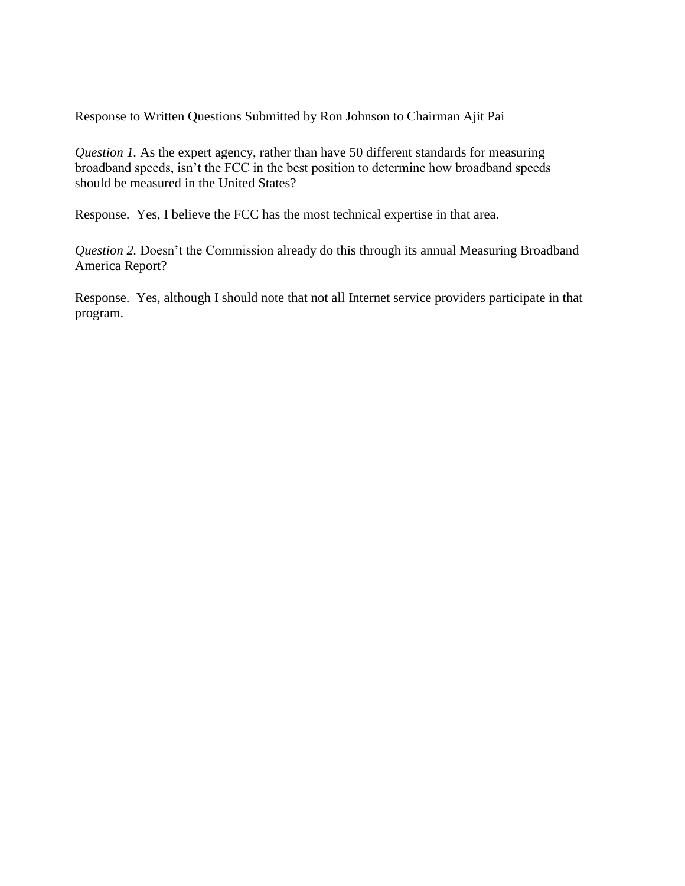Response to Written Questions Submitted by Ron Johnson to Chairman Ajit Pai

*Question 1.* As the expert agency, rather than have 50 different standards for measuring broadband speeds, isn't the FCC in the best position to determine how broadband speeds should be measured in the United States?

Response.Yes, I believe the FCC has the most technical expertise in that area.

*Question 2.* Doesn't the Commission already do this through its annual Measuring Broadband America Report?

Response.Yes, although I should note that not all Internet service providers participate in that program.